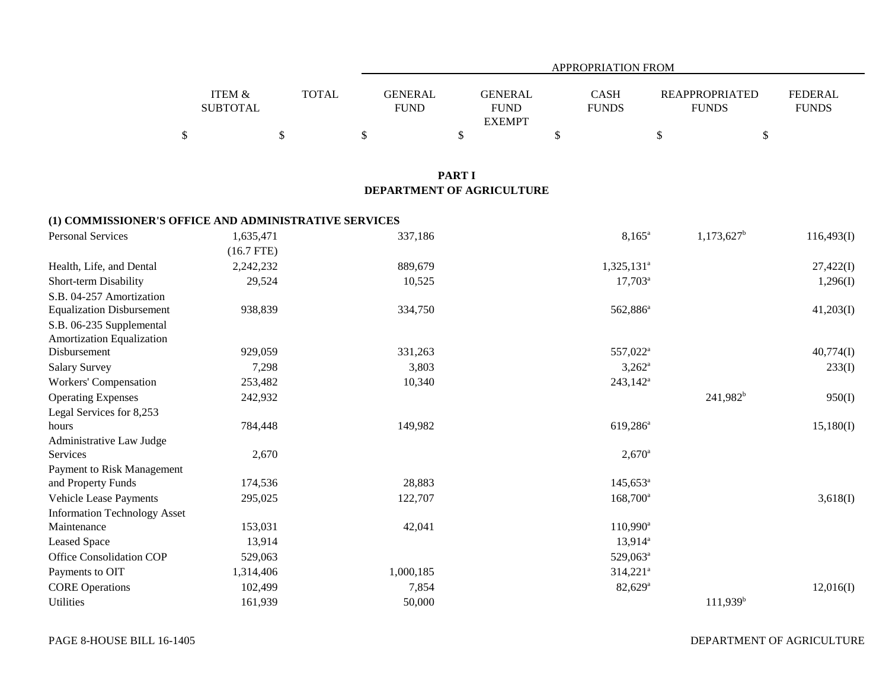|                   |              | APPROPRIATION FROM |               |              |                       |                |  |  |  |
|-------------------|--------------|--------------------|---------------|--------------|-----------------------|----------------|--|--|--|
| <b>ITEM &amp;</b> | <b>TOTAL</b> | GENERAL            | GENERAL       | CASH         | <b>REAPPROPRIATED</b> | <b>FEDERAL</b> |  |  |  |
| <b>SUBTOTAL</b>   |              | <b>FUND</b>        | <b>FUND</b>   | <b>FUNDS</b> | <b>FUNDS</b>          | <b>FUNDS</b>   |  |  |  |
|                   |              |                    | <b>EXEMPT</b> |              |                       |                |  |  |  |
|                   |              |                    |               |              |                       |                |  |  |  |

#### **PART I DEPARTMENT OF AGRICULTURE**

#### **(1) COMMISSIONER'S OFFICE AND ADMINISTRATIVE SERVICES**

| <b>Personal Services</b>            | 1,635,471    | 337,186   | $8,165^{\rm a}$        | $1,173,627$ <sup>b</sup> | 116,493(I) |
|-------------------------------------|--------------|-----------|------------------------|--------------------------|------------|
|                                     | $(16.7$ FTE) |           |                        |                          |            |
| Health, Life, and Dental            | 2,242,232    | 889,679   | $1,325,131^a$          |                          | 27,422(I)  |
| Short-term Disability               | 29,524       | 10,525    | $17,703^a$             |                          | 1,296(I)   |
| S.B. 04-257 Amortization            |              |           |                        |                          |            |
| <b>Equalization Disbursement</b>    | 938,839      | 334,750   | 562,886 <sup>a</sup>   |                          | 41,203(I)  |
| S.B. 06-235 Supplemental            |              |           |                        |                          |            |
| Amortization Equalization           |              |           |                        |                          |            |
| Disbursement                        | 929,059      | 331,263   | 557,022 <sup>a</sup>   |                          | 40,774(I)  |
| <b>Salary Survey</b>                | 7,298        | 3,803     | $3,262^{\circ}$        |                          | 233(I)     |
| Workers' Compensation               | 253,482      | 10,340    | $243,142^a$            |                          |            |
| <b>Operating Expenses</b>           | 242,932      |           |                        | $241,982^b$              | 950(I)     |
| Legal Services for 8,253            |              |           |                        |                          |            |
| hours                               | 784,448      | 149,982   | 619,286 <sup>a</sup>   |                          | 15,180(I)  |
| Administrative Law Judge            |              |           |                        |                          |            |
| Services                            | 2,670        |           | $2,670^{\circ}$        |                          |            |
| Payment to Risk Management          |              |           |                        |                          |            |
| and Property Funds                  | 174,536      | 28,883    | $145,653^{\circ}$      |                          |            |
| Vehicle Lease Payments              | 295,025      | 122,707   | $168,700^{\circ}$      |                          | 3,618(I)   |
| <b>Information Technology Asset</b> |              |           |                        |                          |            |
| Maintenance                         | 153,031      | 42,041    | 110,990 <sup>a</sup>   |                          |            |
| <b>Leased Space</b>                 | 13,914       |           | $13,914^a$             |                          |            |
| <b>Office Consolidation COP</b>     | 529,063      |           | 529,063 <sup>a</sup>   |                          |            |
| Payments to OIT                     | 1,314,406    | 1,000,185 | $314,221$ <sup>a</sup> |                          |            |
| <b>CORE Operations</b>              | 102,499      | 7,854     | $82,629$ <sup>a</sup>  |                          | 12,016(I)  |
| Utilities                           | 161,939      | 50,000    |                        | $111,939^b$              |            |

DEPARTMENT OF AGRICULTURE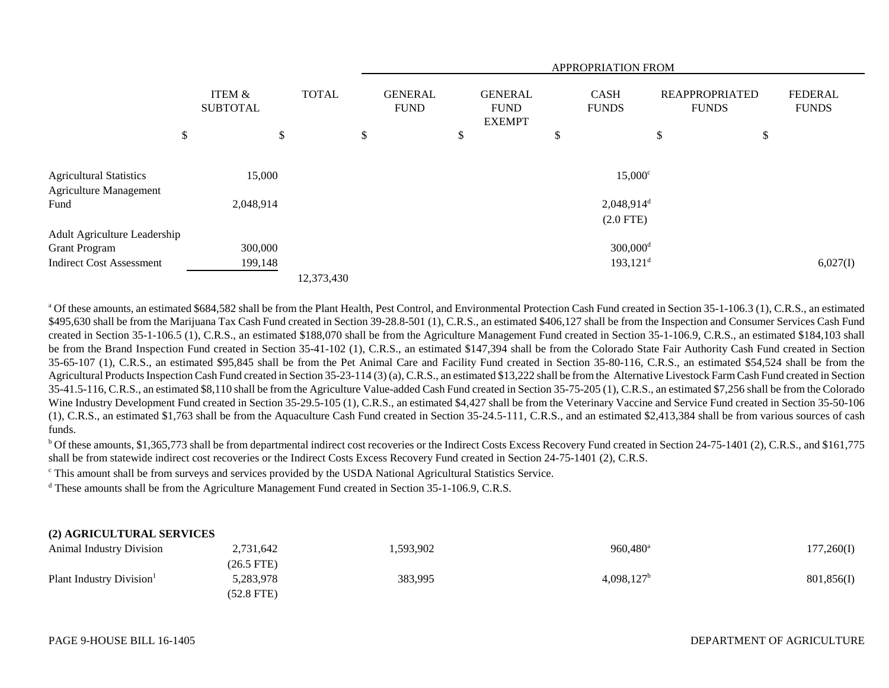|                                 |                           | APPROPRIATION FROM |    |                               |    |                                                |    |                             |                                       |    |                                |
|---------------------------------|---------------------------|--------------------|----|-------------------------------|----|------------------------------------------------|----|-----------------------------|---------------------------------------|----|--------------------------------|
|                                 | ITEM &<br><b>SUBTOTAL</b> | <b>TOTAL</b>       |    | <b>GENERAL</b><br><b>FUND</b> |    | <b>GENERAL</b><br><b>FUND</b><br><b>EXEMPT</b> |    | <b>CASH</b><br><b>FUNDS</b> | <b>REAPPROPRIATED</b><br><b>FUNDS</b> |    | <b>FEDERAL</b><br><b>FUNDS</b> |
|                                 | \$<br>\$                  |                    | \$ |                               | \$ |                                                | \$ |                             | \$                                    | \$ |                                |
| <b>Agricultural Statistics</b>  | 15,000                    |                    |    |                               |    |                                                |    | $15,000^{\circ}$            |                                       |    |                                |
| <b>Agriculture Management</b>   |                           |                    |    |                               |    |                                                |    |                             |                                       |    |                                |
| Fund                            | 2,048,914                 |                    |    |                               |    |                                                |    | $2,048,914$ <sup>d</sup>    |                                       |    |                                |
|                                 |                           |                    |    |                               |    |                                                |    | $(2.0$ FTE)                 |                                       |    |                                |
| Adult Agriculture Leadership    |                           |                    |    |                               |    |                                                |    |                             |                                       |    |                                |
| <b>Grant Program</b>            | 300,000                   |                    |    |                               |    |                                                |    | $300,000$ <sup>d</sup>      |                                       |    |                                |
| <b>Indirect Cost Assessment</b> | 199,148                   |                    |    |                               |    |                                                |    | $193,121$ <sup>d</sup>      |                                       |    | 6,027(I)                       |
|                                 |                           | 12,373,430         |    |                               |    |                                                |    |                             |                                       |    |                                |

<sup>a</sup> Of these amounts, an estimated \$684,582 shall be from the Plant Health, Pest Control, and Environmental Protection Cash Fund created in Section 35-1-106.3 (1), C.R.S., an estimated \$495,630 shall be from the Marijuana Tax Cash Fund created in Section 39-28.8-501 (1), C.R.S., an estimated \$406,127 shall be from the Inspection and Consumer Services Cash Fund created in Section 35-1-106.5 (1), C.R.S., an estimated \$188,070 shall be from the Agriculture Management Fund created in Section 35-1-106.9, C.R.S., an estimated \$184,103 shall be from the Brand Inspection Fund created in Section 35-41-102 (1), C.R.S., an estimated \$147,394 shall be from the Colorado State Fair Authority Cash Fund created in Section 35-65-107 (1), C.R.S., an estimated \$95,845 shall be from the Pet Animal Care and Facility Fund created in Section 35-80-116, C.R.S., an estimated \$54,524 shall be from the Agricultural Products Inspection Cash Fund created in Section 35-23-114 (3) (a), C.R.S., an estimated \$13,222 shall be from the Alternative Livestock Farm Cash Fund created in Section 35-41.5-116, C.R.S., an estimated \$8,110 shall be from the Agriculture Value-added Cash Fund created in Section 35-75-205 (1), C.R.S., an estimated \$7,256 shall be from the Colorado Wine Industry Development Fund created in Section 35-29.5-105 (1), C.R.S., an estimated \$4,427 shall be from the Veterinary Vaccine and Service Fund created in Section 35-50-106 (1), C.R.S., an estimated \$1,763 shall be from the Aquaculture Cash Fund created in Section 35-24.5-111, C.R.S., and an estimated \$2,413,384 shall be from various sources of cash funds.

 $b$  Of these amounts, \$1,365,773 shall be from departmental indirect cost recoveries or the Indirect Costs Excess Recovery Fund created in Section 24-75-1401 (2), C.R.S., and \$161,775 shall be from statewide indirect cost recoveries or the Indirect Costs Excess Recovery Fund created in Section 24-75-1401 (2), C.R.S.

c This amount shall be from surveys and services provided by the USDA National Agricultural Statistics Service.

d These amounts shall be from the Agriculture Management Fund created in Section 35-1-106.9, C.R.S.

### **(2) AGRICULTURAL SERVICES**

| <b>Animal Industry Division</b>      | 2,731,642    | 1,593,902 | 960,480 <sup>a</sup> | 177,260(I) |
|--------------------------------------|--------------|-----------|----------------------|------------|
|                                      | $(26.5$ FTE) |           |                      |            |
| Plant Industry Division <sup>1</sup> | 5,283,978    | 383,995   | $4,098,127^{\rm b}$  | 801,856(I) |
|                                      | (52.8 FTE)   |           |                      |            |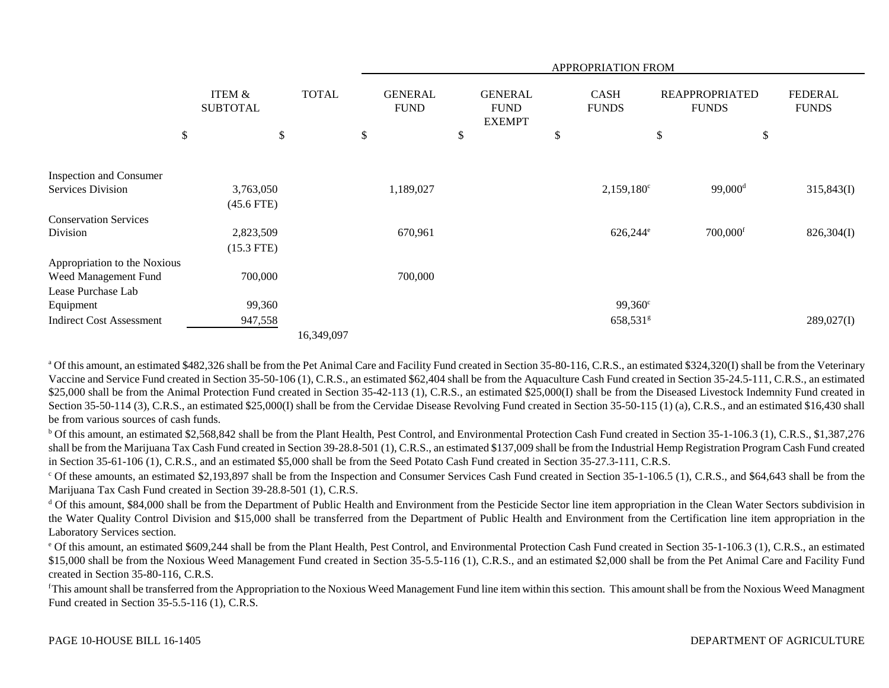|                                 |                                      |              |                               |                                                | APPROPRIATION FROM          |                                       |                                |
|---------------------------------|--------------------------------------|--------------|-------------------------------|------------------------------------------------|-----------------------------|---------------------------------------|--------------------------------|
|                                 | <b>ITEM &amp;</b><br><b>SUBTOTAL</b> | <b>TOTAL</b> | <b>GENERAL</b><br><b>FUND</b> | <b>GENERAL</b><br><b>FUND</b><br><b>EXEMPT</b> | <b>CASH</b><br><b>FUNDS</b> | <b>REAPPROPRIATED</b><br><b>FUNDS</b> | <b>FEDERAL</b><br><b>FUNDS</b> |
|                                 | \$                                   | \$           | \$                            | \$                                             | \$                          | $\$\,$                                | \$                             |
| <b>Inspection and Consumer</b>  |                                      |              |                               |                                                |                             |                                       |                                |
| <b>Services Division</b>        | 3,763,050                            |              | 1,189,027                     |                                                | $2,159,180^{\circ}$         | $99,000$ <sup>d</sup>                 | 315,843(I)                     |
|                                 | $(45.6$ FTE)                         |              |                               |                                                |                             |                                       |                                |
| <b>Conservation Services</b>    |                                      |              |                               |                                                |                             |                                       |                                |
| Division                        | 2,823,509                            |              | 670,961                       |                                                | $626,244^{\circ}$           | $700,000$ <sup>f</sup>                | 826,304(I)                     |
|                                 | $(15.3$ FTE)                         |              |                               |                                                |                             |                                       |                                |
| Appropriation to the Noxious    |                                      |              |                               |                                                |                             |                                       |                                |
| Weed Management Fund            | 700,000                              |              | 700,000                       |                                                |                             |                                       |                                |
| Lease Purchase Lab              |                                      |              |                               |                                                |                             |                                       |                                |
| Equipment                       | 99,360                               |              |                               |                                                | $99,360^{\circ}$            |                                       |                                |
| <b>Indirect Cost Assessment</b> | 947,558                              |              |                               |                                                | $658,531$ <sup>g</sup>      |                                       | 289,027(I)                     |
|                                 |                                      | 16,349,097   |                               |                                                |                             |                                       |                                |

<sup>a</sup> Of this amount, an estimated \$482,326 shall be from the Pet Animal Care and Facility Fund created in Section 35-80-116, C.R.S., an estimated \$324,320(I) shall be from the Veterinary Vaccine and Service Fund created in Section 35-50-106 (1), C.R.S., an estimated \$62,404 shall be from the Aquaculture Cash Fund created in Section 35-24.5-111, C.R.S., an estimated \$25,000 shall be from the Animal Protection Fund created in Section 35-42-113 (1), C.R.S., an estimated \$25,000(I) shall be from the Diseased Livestock Indemnity Fund created in Section 35-50-114 (3), C.R.S., an estimated \$25,000(I) shall be from the Cervidae Disease Revolving Fund created in Section 35-50-115 (1) (a), C.R.S., and an estimated \$16,430 shall be from various sources of cash funds.

<sup>b</sup> Of this amount, an estimated \$2,568,842 shall be from the Plant Health, Pest Control, and Environmental Protection Cash Fund created in Section 35-1-106.3 (1), C.R.S., \$1,387,276 shall be from the Marijuana Tax Cash Fund created in Section 39-28.8-501 (1), C.R.S., an estimated \$137,009 shall be from the Industrial Hemp Registration Program Cash Fund created in Section 35-61-106 (1), C.R.S., and an estimated \$5,000 shall be from the Seed Potato Cash Fund created in Section 35-27.3-111, C.R.S.

 $\degree$  Of these amounts, an estimated \$2,193,897 shall be from the Inspection and Consumer Services Cash Fund created in Section 35-1-106.5 (1), C.R.S., and \$64,643 shall be from the Marijuana Tax Cash Fund created in Section 39-28.8-501 (1), C.R.S.

<sup>d</sup> Of this amount, \$84,000 shall be from the Department of Public Health and Environment from the Pesticide Sector line item appropriation in the Clean Water Sectors subdivision in the Water Quality Control Division and \$15,000 shall be transferred from the Department of Public Health and Environment from the Certification line item appropriation in the Laboratory Services section.

<sup>e</sup> Of this amount, an estimated \$609,244 shall be from the Plant Health, Pest Control, and Environmental Protection Cash Fund created in Section 35-1-106.3 (1), C.R.S., an estimated \$15,000 shall be from the Noxious Weed Management Fund created in Section 35-5.5-116 (1), C.R.S., and an estimated \$2,000 shall be from the Pet Animal Care and Facility Fund created in Section 35-80-116, C.R.S.

<sup>f</sup>This amount shall be transferred from the Appropriation to the Noxious Weed Management Fund line item within this section. This amount shall be from the Noxious Weed Managment Fund created in Section 35-5.5-116 (1), C.R.S.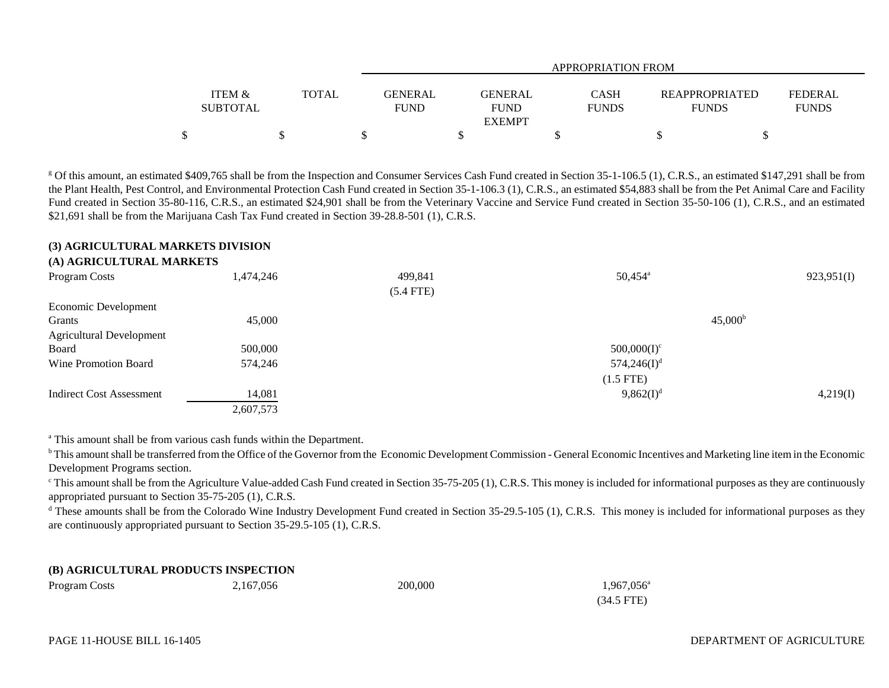|                   |              |             | APPROPRIATION FROM |              |                       |                |  |  |  |  |
|-------------------|--------------|-------------|--------------------|--------------|-----------------------|----------------|--|--|--|--|
|                   |              |             |                    |              |                       |                |  |  |  |  |
| <b>ITEM &amp;</b> | <b>TOTAL</b> | GENERAL     | <b>GENERAL</b>     | <b>CASH</b>  | <b>REAPPROPRIATED</b> | <b>FEDERAL</b> |  |  |  |  |
| <b>SUBTOTAL</b>   |              | <b>FUND</b> | <b>FUND</b>        | <b>FUNDS</b> | <b>FUNDS</b>          | <b>FUNDS</b>   |  |  |  |  |
|                   |              |             | <b>EXEMPT</b>      |              |                       |                |  |  |  |  |
|                   |              |             |                    |              |                       |                |  |  |  |  |

<sup>g</sup> Of this amount, an estimated \$409,765 shall be from the Inspection and Consumer Services Cash Fund created in Section 35-1-106.5 (1), C.R.S., an estimated \$147,291 shall be from the Plant Health, Pest Control, and Environmental Protection Cash Fund created in Section 35-1-106.3 (1), C.R.S., an estimated \$54,883 shall be from the Pet Animal Care and Facility Fund created in Section 35-80-116, C.R.S., an estimated \$24,901 shall be from the Veterinary Vaccine and Service Fund created in Section 35-50-106 (1), C.R.S., and an estimated \$21,691 shall be from the Marijuana Cash Tax Fund created in Section 39-28.8-501 (1), C.R.S.

#### **(3) AGRICULTURAL MARKETS DIVISION**

#### **(A) AGRICULTURAL MARKETS**

| Program Costs                   | 1,474,246 | 499,841     | $50,454^{\circ}$ | 923,951(I) |
|---------------------------------|-----------|-------------|------------------|------------|
|                                 |           | $(5.4$ FTE) |                  |            |
| Economic Development            |           |             |                  |            |
| Grants                          | 45,000    |             | $45,000^{\rm b}$ |            |
| <b>Agricultural Development</b> |           |             |                  |            |
| Board                           | 500,000   |             | $500,000(I)^c$   |            |
| Wine Promotion Board            | 574,246   |             | $574,246(I)^d$   |            |
|                                 |           |             | $(1.5$ FTE)      |            |
| Indirect Cost Assessment        | 14,081    |             | $9,862(I)^{d}$   | 4,219(I)   |
|                                 | 2,607,573 |             |                  |            |

<sup>a</sup> This amount shall be from various cash funds within the Department.

<sup>b</sup> This amount shall be transferred from the Office of the Governor from the Economic Development Commission - General Economic Incentives and Marketing line item in the Economic Development Programs section.

<sup>c</sup> This amount shall be from the Agriculture Value-added Cash Fund created in Section 35-75-205 (1), C.R.S. This money is included for informational purposes as they are continuously appropriated pursuant to Section 35-75-205 (1), C.R.S.

<sup>d</sup> These amounts shall be from the Colorado Wine Industry Development Fund created in Section 35-29.5-105 (1), C.R.S. This money is included for informational purposes as they are continuously appropriated pursuant to Section 35-29.5-105 (1), C.R.S.

#### **(B) AGRICULTURAL PRODUCTS INSPECTION**

| Program Costs | 2,167,056 | 200,000 | $1,967,056^{\circ}$ |
|---------------|-----------|---------|---------------------|
|               |           |         | $(34.5$ FTE)        |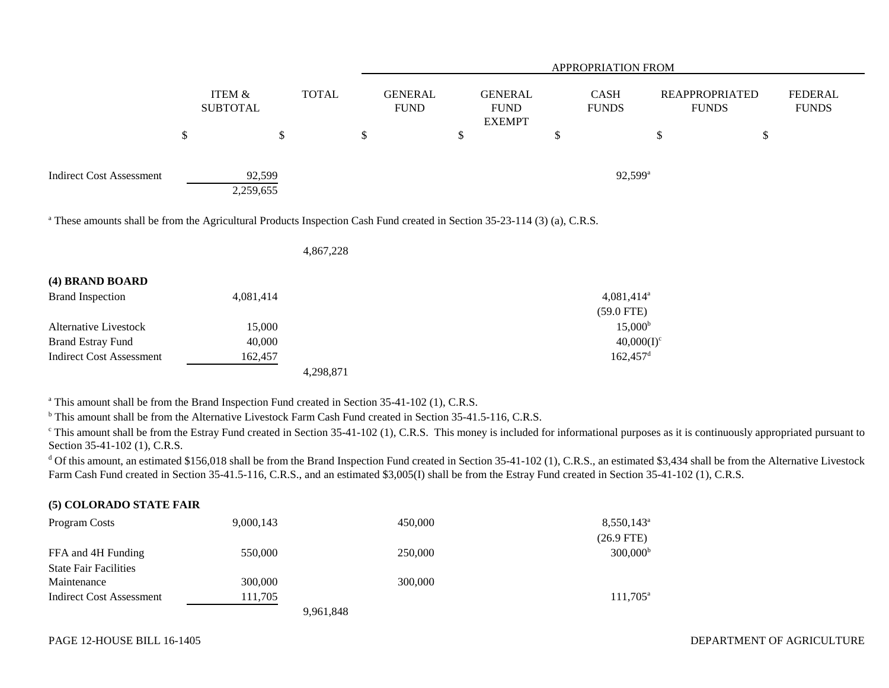|                                                                                                                                                                         |                           |              | APPROPRIATION FROM |                               |    |                                                |    |                             |                                       |                                |
|-------------------------------------------------------------------------------------------------------------------------------------------------------------------------|---------------------------|--------------|--------------------|-------------------------------|----|------------------------------------------------|----|-----------------------------|---------------------------------------|--------------------------------|
|                                                                                                                                                                         | ITEM &<br><b>SUBTOTAL</b> | <b>TOTAL</b> |                    | <b>GENERAL</b><br><b>FUND</b> |    | <b>GENERAL</b><br><b>FUND</b><br><b>EXEMPT</b> |    | <b>CASH</b><br><b>FUNDS</b> | <b>REAPPROPRIATED</b><br><b>FUNDS</b> | <b>FEDERAL</b><br><b>FUNDS</b> |
|                                                                                                                                                                         | \$<br>\$                  |              | \$                 |                               | \$ |                                                | \$ |                             | \$<br>\$                              |                                |
| <b>Indirect Cost Assessment</b><br><sup>a</sup> These amounts shall be from the Agricultural Products Inspection Cash Fund created in Section 35-23-114 (3) (a), C.R.S. | 92,599<br>2,259,655       |              |                    |                               |    |                                                |    | $92,599^{\circ}$            |                                       |                                |
|                                                                                                                                                                         |                           | 4,867,228    |                    |                               |    |                                                |    |                             |                                       |                                |
| (4) BRAND BOARD                                                                                                                                                         |                           |              |                    |                               |    |                                                |    |                             |                                       |                                |
| <b>Brand Inspection</b>                                                                                                                                                 | 4,081,414                 |              |                    |                               |    |                                                |    | 4,081,414 <sup>a</sup>      |                                       |                                |
|                                                                                                                                                                         |                           |              |                    |                               |    |                                                |    | $(59.0$ FTE)                |                                       |                                |
| Alternative Livestock                                                                                                                                                   | 15,000                    |              |                    |                               |    |                                                |    | 15,000 <sup>b</sup>         |                                       |                                |
| <b>Brand Estray Fund</b>                                                                                                                                                | 40,000                    |              |                    |                               |    |                                                |    | $40,000(I)^c$               |                                       |                                |

4,298,871

Indirect Cost Assessment 162,457 162,457 162,457 162,457 162,457 162,457 162,457 162,457 162,457 162,457 162,457 162,457 162,457 162,457 162,457 162,457 162,457 162,457 162,457 162,457 162,457 162,457 162,457 162,457 162,

<sup>a</sup> This amount shall be from the Brand Inspection Fund created in Section 35-41-102 (1), C.R.S.

<sup>b</sup> This amount shall be from the Alternative Livestock Farm Cash Fund created in Section 35-41.5-116, C.R.S.

<sup>c</sup> This amount shall be from the Estray Fund created in Section 35-41-102 (1), C.R.S. This money is included for informational purposes as it is continuously appropriated pursuant to Section 35-41-102 (1), C.R.S.

<sup>d</sup> Of this amount, an estimated \$156,018 shall be from the Brand Inspection Fund created in Section 35-41-102 (1), C.R.S., an estimated \$3,434 shall be from the Alternative Livestock Farm Cash Fund created in Section 35-41.5-116, C.R.S., and an estimated \$3,005(I) shall be from the Estray Fund created in Section 35-41-102 (1), C.R.S.

## **(5) COLORADO STATE FAIR**

| Program Costs                | 9,000,143 | 450,000   | $8,550,143^{\circ}$ |
|------------------------------|-----------|-----------|---------------------|
|                              |           |           | $(26.9$ FTE)        |
| FFA and 4H Funding           | 550,000   | 250,000   | $300,000^{\rm b}$   |
| <b>State Fair Facilities</b> |           |           |                     |
| Maintenance                  | 300,000   | 300,000   |                     |
| Indirect Cost Assessment     | 111,705   |           | $111,705^{\circ}$   |
|                              |           | 9,961,848 |                     |